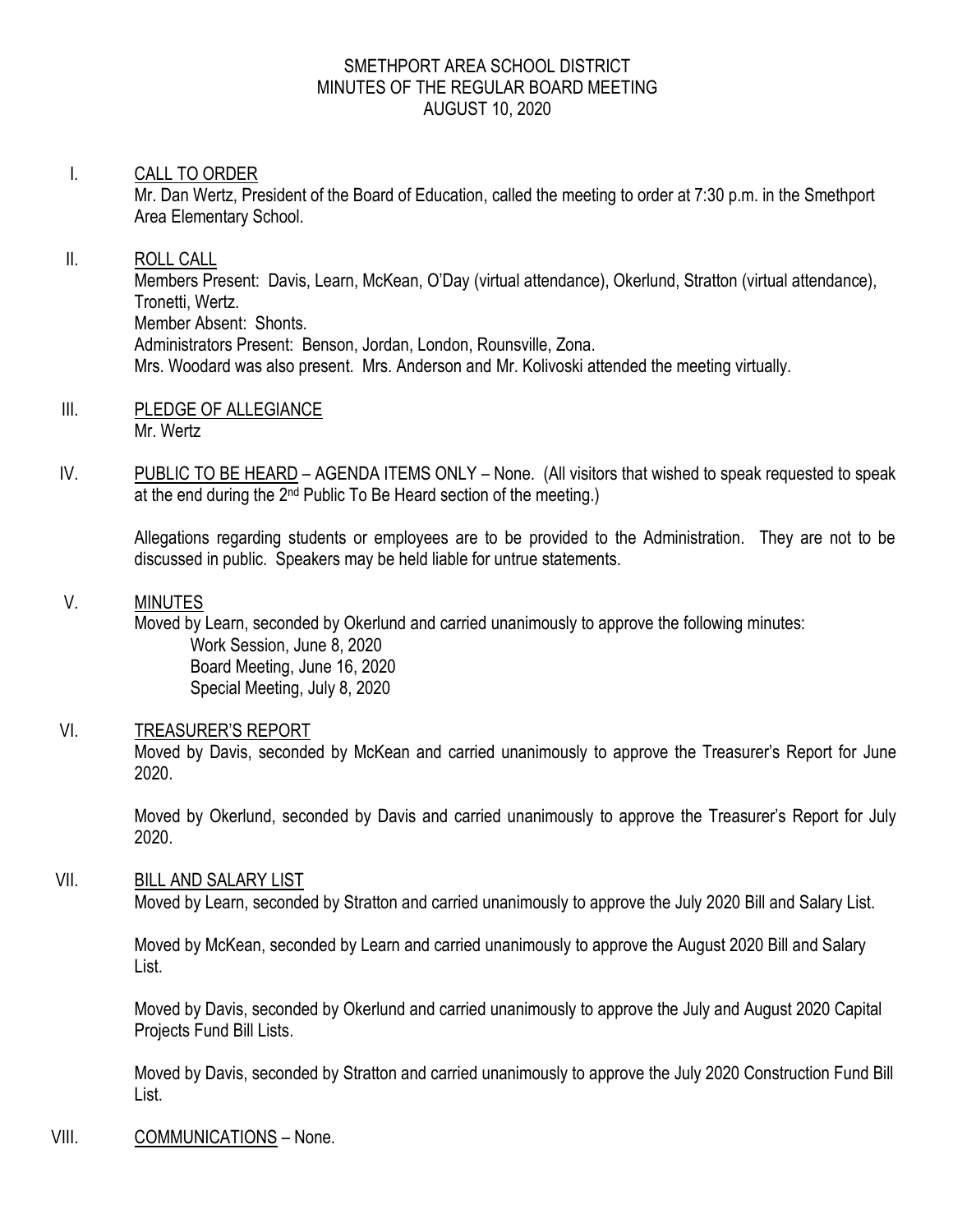#### SMETHPORT AREA SCHOOL DISTRICT MINUTES OF THE REGULAR BOARD MEETING AUGUST 10, 2020

# I. CALL TO ORDER

Mr. Dan Wertz, President of the Board of Education, called the meeting to order at 7:30 p.m. in the Smethport Area Elementary School.

# II. ROLL CALL

Members Present: Davis, Learn, McKean, O'Day (virtual attendance), Okerlund, Stratton (virtual attendance), Tronetti, Wertz. Member Absent: Shonts. Administrators Present: Benson, Jordan, London, Rounsville, Zona. Mrs. Woodard was also present. Mrs. Anderson and Mr. Kolivoski attended the meeting virtually.

- III. PLEDGE OF ALLEGIANCE Mr. Wertz
- IV. PUBLIC TO BE HEARD AGENDA ITEMS ONLY None. (All visitors that wished to speak requested to speak at the end during the 2nd Public To Be Heard section of the meeting.)

Allegations regarding students or employees are to be provided to the Administration. They are not to be discussed in public. Speakers may be held liable for untrue statements.

V. MINUTES

Moved by Learn, seconded by Okerlund and carried unanimously to approve the following minutes:

Work Session, June 8, 2020 Board Meeting, June 16, 2020 Special Meeting, July 8, 2020

# VI. TREASURER'S REPORT

Moved by Davis, seconded by McKean and carried unanimously to approve the Treasurer's Report for June 2020.

Moved by Okerlund, seconded by Davis and carried unanimously to approve the Treasurer's Report for July 2020.

# VII. BILL AND SALARY LIST

Moved by Learn, seconded by Stratton and carried unanimously to approve the July 2020 Bill and Salary List.

Moved by McKean, seconded by Learn and carried unanimously to approve the August 2020 Bill and Salary List.

Moved by Davis, seconded by Okerlund and carried unanimously to approve the July and August 2020 Capital Projects Fund Bill Lists.

Moved by Davis, seconded by Stratton and carried unanimously to approve the July 2020 Construction Fund Bill List.

# VIII. COMMUNICATIONS – None.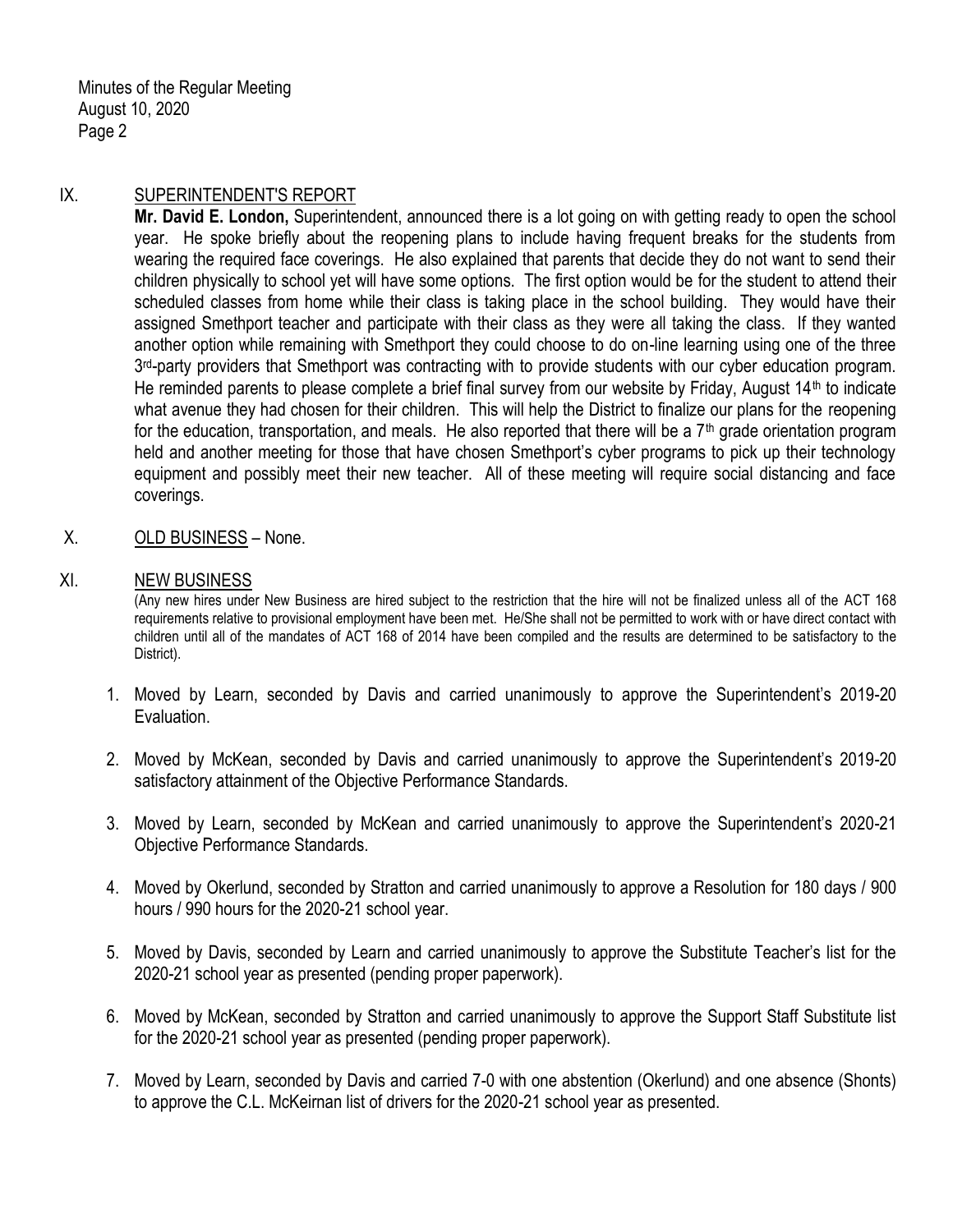Minutes of the Regular Meeting August 10, 2020 Page 2

### IX. SUPERINTENDENT'S REPORT

**Mr. David E. London,** Superintendent, announced there is a lot going on with getting ready to open the school year. He spoke briefly about the reopening plans to include having frequent breaks for the students from wearing the required face coverings. He also explained that parents that decide they do not want to send their children physically to school yet will have some options. The first option would be for the student to attend their scheduled classes from home while their class is taking place in the school building. They would have their assigned Smethport teacher and participate with their class as they were all taking the class. If they wanted another option while remaining with Smethport they could choose to do on-line learning using one of the three 3<sup>rd</sup>-party providers that Smethport was contracting with to provide students with our cyber education program. He reminded parents to please complete a brief final survey from our website by Friday, August 14<sup>th</sup> to indicate what avenue they had chosen for their children. This will help the District to finalize our plans for the reopening for the education, transportation, and meals. He also reported that there will be a  $7<sup>th</sup>$  grade orientation program held and another meeting for those that have chosen Smethport's cyber programs to pick up their technology equipment and possibly meet their new teacher. All of these meeting will require social distancing and face coverings.

X. OLD BUSINESS – None.

#### XI. NEW BUSINESS

(Any new hires under New Business are hired subject to the restriction that the hire will not be finalized unless all of the ACT 168 requirements relative to provisional employment have been met. He/She shall not be permitted to work with or have direct contact with children until all of the mandates of ACT 168 of 2014 have been compiled and the results are determined to be satisfactory to the District).

- 1. Moved by Learn, seconded by Davis and carried unanimously to approve the Superintendent's 2019-20 Evaluation.
- 2. Moved by McKean, seconded by Davis and carried unanimously to approve the Superintendent's 2019-20 satisfactory attainment of the Objective Performance Standards.
- 3. Moved by Learn, seconded by McKean and carried unanimously to approve the Superintendent's 2020-21 Objective Performance Standards.
- 4. Moved by Okerlund, seconded by Stratton and carried unanimously to approve a Resolution for 180 days / 900 hours / 990 hours for the 2020-21 school year.
- 5. Moved by Davis, seconded by Learn and carried unanimously to approve the Substitute Teacher's list for the 2020-21 school year as presented (pending proper paperwork).
- 6. Moved by McKean, seconded by Stratton and carried unanimously to approve the Support Staff Substitute list for the 2020-21 school year as presented (pending proper paperwork).
- 7. Moved by Learn, seconded by Davis and carried 7-0 with one abstention (Okerlund) and one absence (Shonts) to approve the C.L. McKeirnan list of drivers for the 2020-21 school year as presented.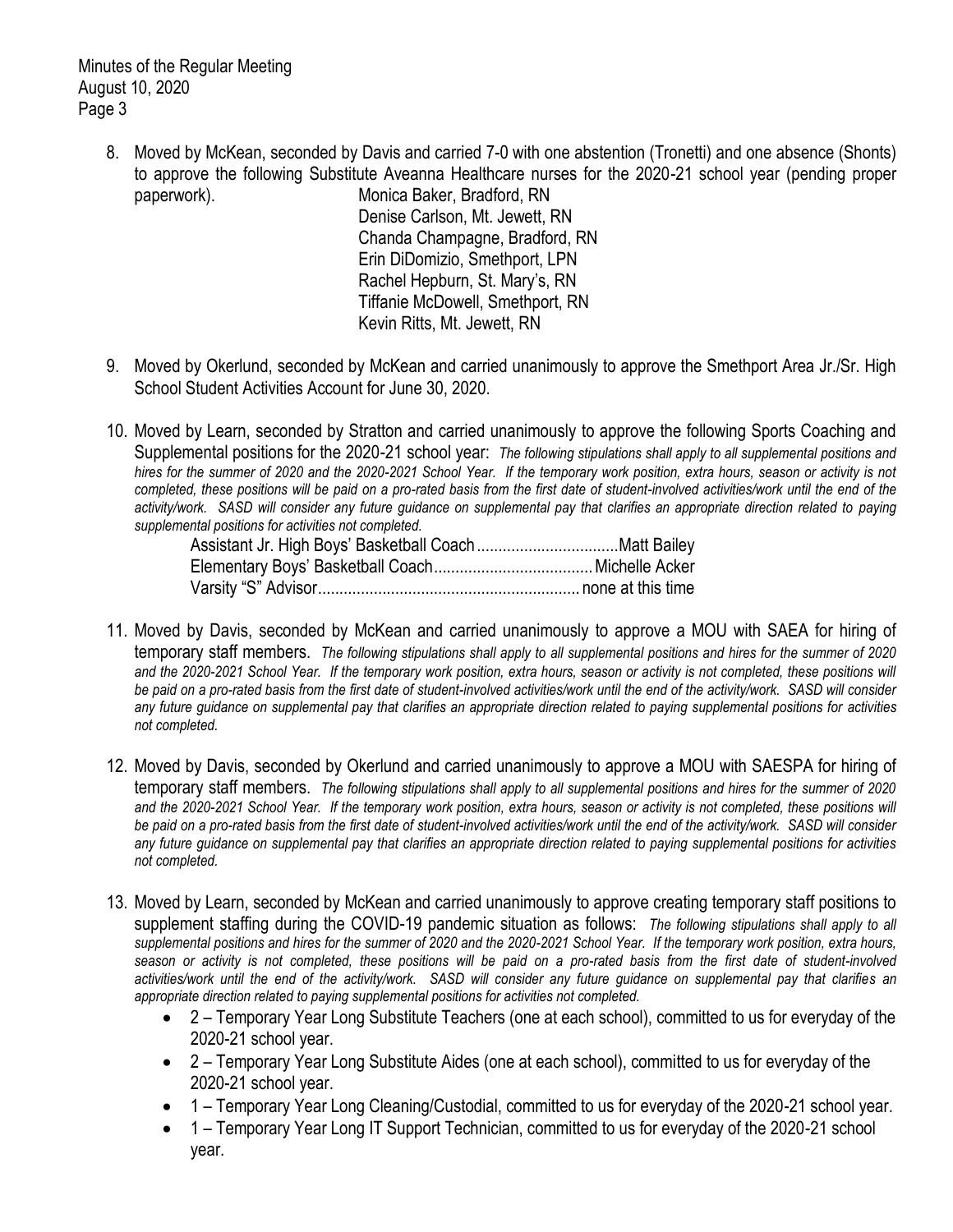Minutes of the Regular Meeting August 10, 2020 Page 3

> 8. Moved by McKean, seconded by Davis and carried 7-0 with one abstention (Tronetti) and one absence (Shonts) to approve the following Substitute Aveanna Healthcare nurses for the 2020-21 school year (pending proper paperwork). Monica Baker, Bradford, RN

Denise Carlson, Mt. Jewett, RN Chanda Champagne, Bradford, RN Erin DiDomizio, Smethport, LPN Rachel Hepburn, St. Mary's, RN Tiffanie McDowell, Smethport, RN Kevin Ritts, Mt. Jewett, RN

- 9. Moved by Okerlund, seconded by McKean and carried unanimously to approve the Smethport Area Jr./Sr. High School Student Activities Account for June 30, 2020.
- 10. Moved by Learn, seconded by Stratton and carried unanimously to approve the following Sports Coaching and Supplemental positions for the 2020-21 school year: *The following stipulations shall apply to all supplemental positions and hires for the summer of 2020 and the 2020-2021 School Year. If the temporary work position, extra hours, season or activity is not completed, these positions will be paid on a pro-rated basis from the first date of student-involved activities/work until the end of the activity/work. SASD will consider any future guidance on supplemental pay that clarifies an appropriate direction related to paying supplemental positions for activities not completed.*

- 11. Moved by Davis, seconded by McKean and carried unanimously to approve a MOU with SAEA for hiring of temporary staff members. *The following stipulations shall apply to all supplemental positions and hires for the summer of 2020*  and the 2020-2021 School Year. If the temporary work position, extra hours, season or activity is not completed, these positions will *be paid on a pro-rated basis from the first date of student-involved activities/work until the end of the activity/work. SASD will consider any future guidance on supplemental pay that clarifies an appropriate direction related to paying supplemental positions for activities not completed.*
- 12. Moved by Davis, seconded by Okerlund and carried unanimously to approve a MOU with SAESPA for hiring of temporary staff members. *The following stipulations shall apply to all supplemental positions and hires for the summer of 2020 and the 2020-2021 School Year. If the temporary work position, extra hours, season or activity is not completed, these positions will be paid on a pro-rated basis from the first date of student-involved activities/work until the end of the activity/work. SASD will consider any future guidance on supplemental pay that clarifies an appropriate direction related to paying supplemental positions for activities not completed.*
- 13. Moved by Learn, seconded by McKean and carried unanimously to approve creating temporary staff positions to supplement staffing during the COVID-19 pandemic situation as follows: *The following stipulations shall apply to all supplemental positions and hires for the summer of 2020 and the 2020-2021 School Year. If the temporary work position, extra hours, season or activity is not completed, these positions will be paid on a pro-rated basis from the first date of student-involved activities/work until the end of the activity/work. SASD will consider any future guidance on supplemental pay that clarifies an appropriate direction related to paying supplemental positions for activities not completed.*
	- 2 Temporary Year Long Substitute Teachers (one at each school), committed to us for everyday of the 2020-21 school year.
	- 2 Temporary Year Long Substitute Aides (one at each school), committed to us for everyday of the 2020-21 school year.
	- 1 Temporary Year Long Cleaning/Custodial, committed to us for everyday of the 2020-21 school year.
	- 1 Temporary Year Long IT Support Technician, committed to us for everyday of the 2020-21 school year.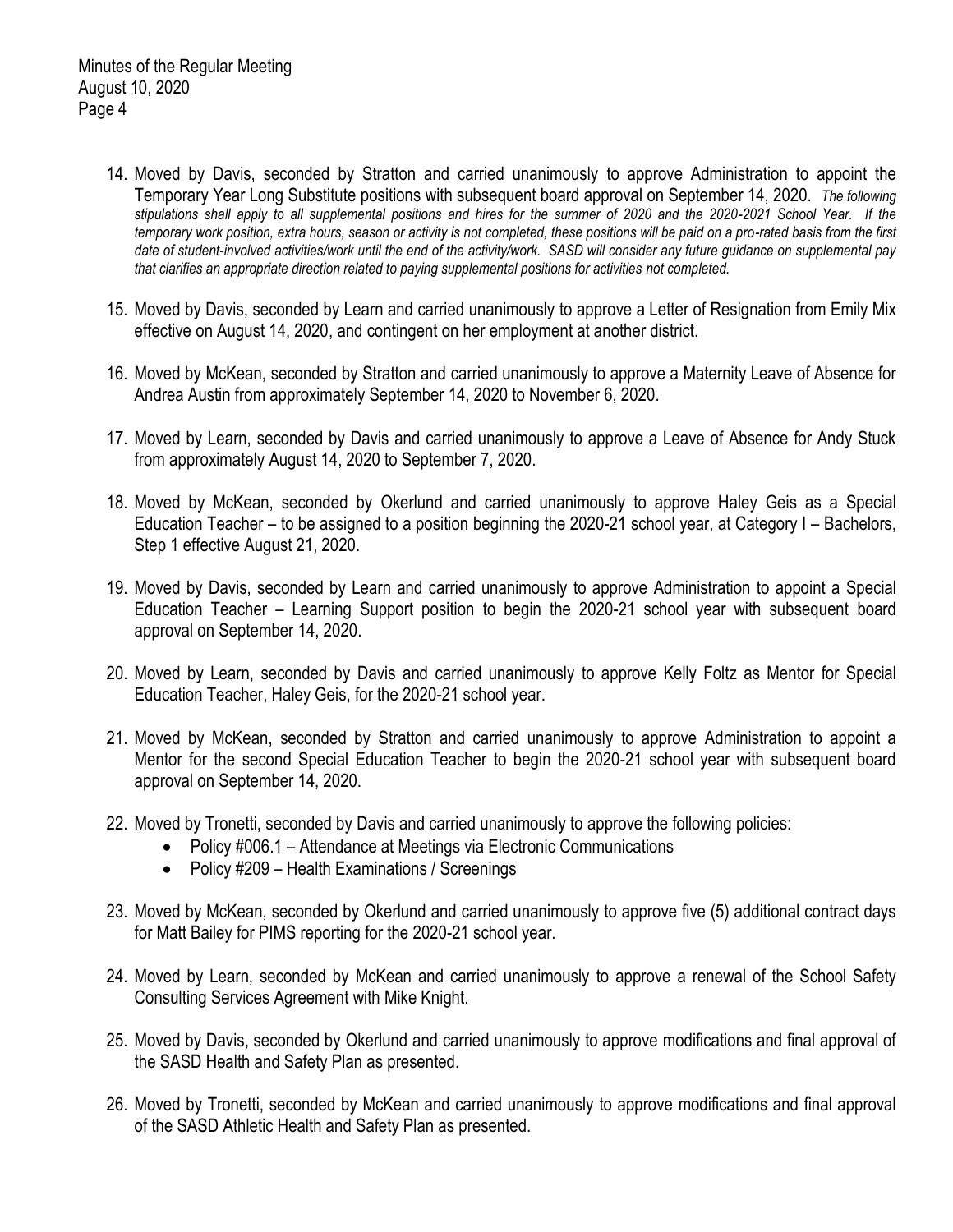- 14. Moved by Davis, seconded by Stratton and carried unanimously to approve Administration to appoint the Temporary Year Long Substitute positions with subsequent board approval on September 14, 2020. *The following stipulations shall apply to all supplemental positions and hires for the summer of 2020 and the 2020-2021 School Year. If the temporary work position, extra hours, season or activity is not completed, these positions will be paid on a pro-rated basis from the first date of student-involved activities/work until the end of the activity/work. SASD will consider any future guidance on supplemental pay that clarifies an appropriate direction related to paying supplemental positions for activities not completed.*
- 15. Moved by Davis, seconded by Learn and carried unanimously to approve a Letter of Resignation from Emily Mix effective on August 14, 2020, and contingent on her employment at another district.
- 16. Moved by McKean, seconded by Stratton and carried unanimously to approve a Maternity Leave of Absence for Andrea Austin from approximately September 14, 2020 to November 6, 2020.
- 17. Moved by Learn, seconded by Davis and carried unanimously to approve a Leave of Absence for Andy Stuck from approximately August 14, 2020 to September 7, 2020.
- 18. Moved by McKean, seconded by Okerlund and carried unanimously to approve Haley Geis as a Special Education Teacher – to be assigned to a position beginning the 2020-21 school year, at Category I – Bachelors, Step 1 effective August 21, 2020.
- 19. Moved by Davis, seconded by Learn and carried unanimously to approve Administration to appoint a Special Education Teacher – Learning Support position to begin the 2020-21 school year with subsequent board approval on September 14, 2020.
- 20. Moved by Learn, seconded by Davis and carried unanimously to approve Kelly Foltz as Mentor for Special Education Teacher, Haley Geis, for the 2020-21 school year.
- 21. Moved by McKean, seconded by Stratton and carried unanimously to approve Administration to appoint a Mentor for the second Special Education Teacher to begin the 2020-21 school year with subsequent board approval on September 14, 2020.
- 22. Moved by Tronetti, seconded by Davis and carried unanimously to approve the following policies:
	- Policy #006.1 Attendance at Meetings via Electronic Communications
	- Policy #209 Health Examinations / Screenings
- 23. Moved by McKean, seconded by Okerlund and carried unanimously to approve five (5) additional contract days for Matt Bailey for PIMS reporting for the 2020-21 school year.
- 24. Moved by Learn, seconded by McKean and carried unanimously to approve a renewal of the School Safety Consulting Services Agreement with Mike Knight.
- 25. Moved by Davis, seconded by Okerlund and carried unanimously to approve modifications and final approval of the SASD Health and Safety Plan as presented.
- 26. Moved by Tronetti, seconded by McKean and carried unanimously to approve modifications and final approval of the SASD Athletic Health and Safety Plan as presented.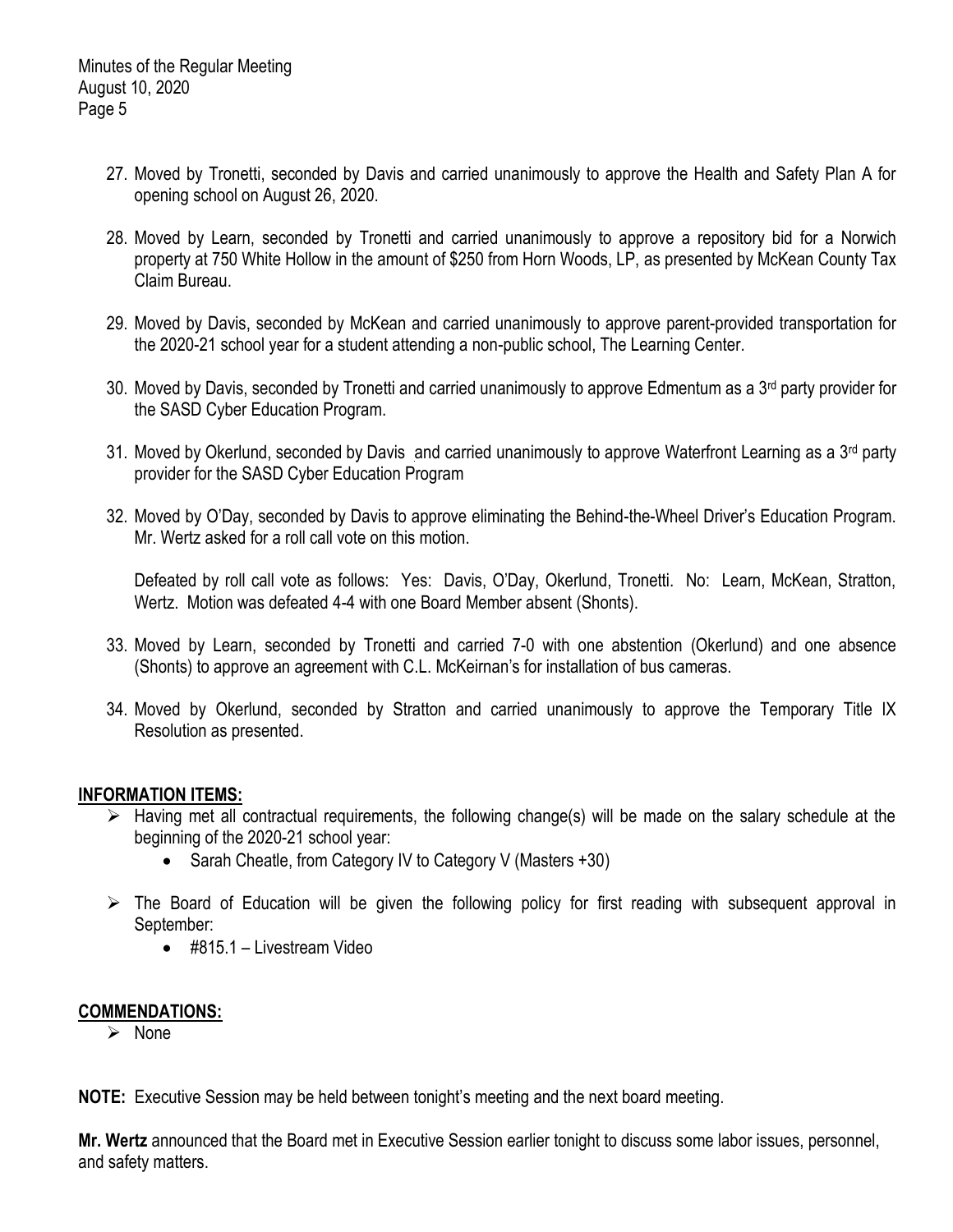- 27. Moved by Tronetti, seconded by Davis and carried unanimously to approve the Health and Safety Plan A for opening school on August 26, 2020.
- 28. Moved by Learn, seconded by Tronetti and carried unanimously to approve a repository bid for a Norwich property at 750 White Hollow in the amount of \$250 from Horn Woods, LP, as presented by McKean County Tax Claim Bureau.
- 29. Moved by Davis, seconded by McKean and carried unanimously to approve parent-provided transportation for the 2020-21 school year for a student attending a non-public school, The Learning Center.
- 30. Moved by Davis, seconded by Tronetti and carried unanimously to approve Edmentum as a 3<sup>rd</sup> party provider for the SASD Cyber Education Program.
- 31. Moved by Okerlund, seconded by Davis and carried unanimously to approve Waterfront Learning as a 3<sup>rd</sup> party provider for the SASD Cyber Education Program
- 32. Moved by O'Day, seconded by Davis to approve eliminating the Behind-the-Wheel Driver's Education Program. Mr. Wertz asked for a roll call vote on this motion.

Defeated by roll call vote as follows: Yes: Davis, O'Day, Okerlund, Tronetti. No: Learn, McKean, Stratton, Wertz. Motion was defeated 4-4 with one Board Member absent (Shonts).

- 33. Moved by Learn, seconded by Tronetti and carried 7-0 with one abstention (Okerlund) and one absence (Shonts) to approve an agreement with C.L. McKeirnan's for installation of bus cameras.
- 34. Moved by Okerlund, seconded by Stratton and carried unanimously to approve the Temporary Title IX Resolution as presented.

# **INFORMATION ITEMS:**

- $\triangleright$  Having met all contractual requirements, the following change(s) will be made on the salary schedule at the beginning of the 2020-21 school year:
	- Sarah Cheatle, from Category IV to Category V (Masters +30)
- $\triangleright$  The Board of Education will be given the following policy for first reading with subsequent approval in September:
	- #815.1 Livestream Video

# **COMMENDATIONS:**

 $\triangleright$  None

**NOTE:** Executive Session may be held between tonight's meeting and the next board meeting.

**Mr. Wertz** announced that the Board met in Executive Session earlier tonight to discuss some labor issues, personnel, and safety matters.